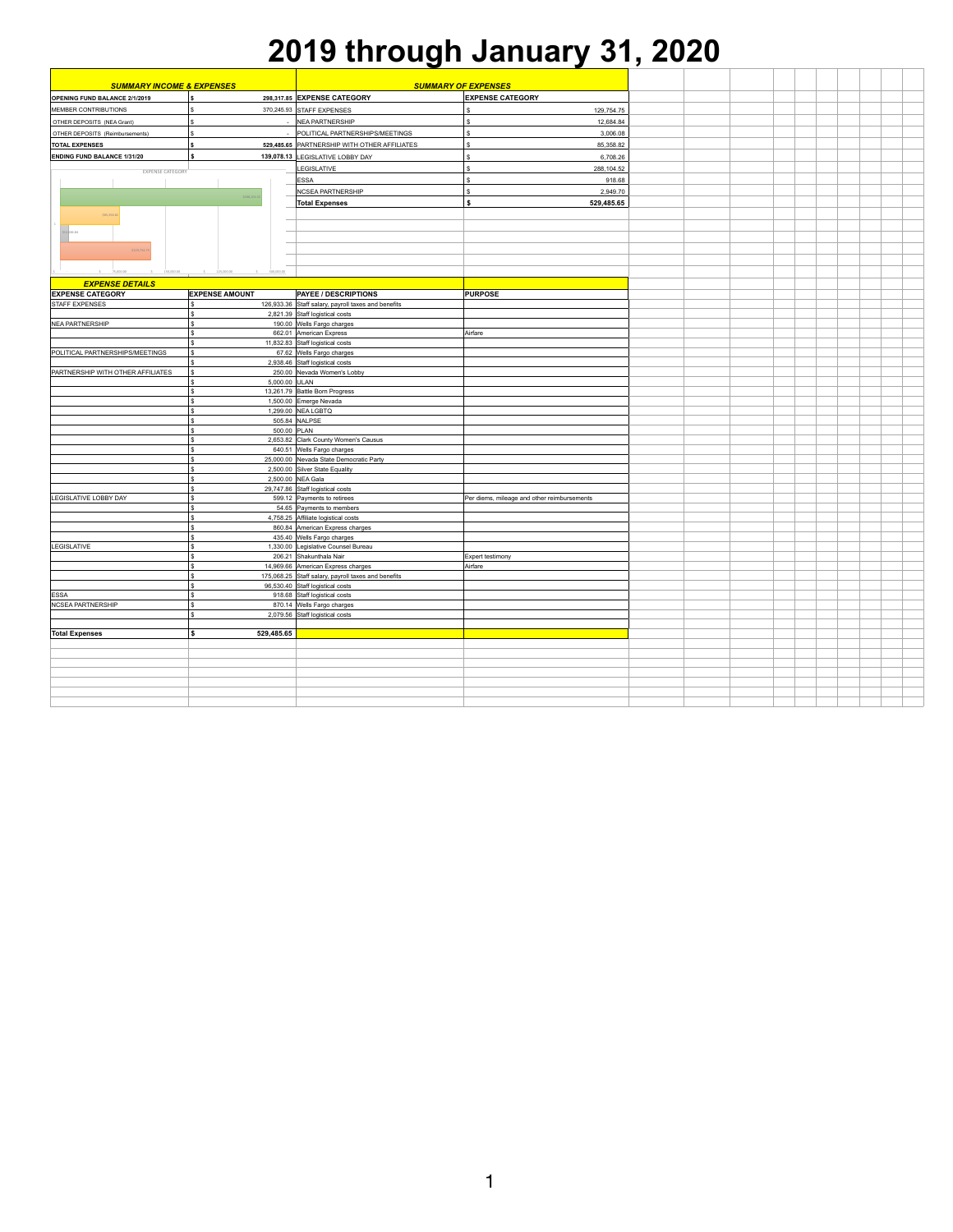| <b>SUMMARY INCOME &amp; EXPENSES</b>                                       |                       |                 |                                                                                         | <b>SUMMARY OF EXPENSES</b>                  |  |  |
|----------------------------------------------------------------------------|-----------------------|-----------------|-----------------------------------------------------------------------------------------|---------------------------------------------|--|--|
| <b>OPENING FUND BALANCE 2/1/2019</b>                                       |                       |                 | 298,317.85 EXPENSE CATEGORY                                                             | <b>EXPENSE CATEGORY</b>                     |  |  |
| MEMBER CONTRIBUTIONS                                                       |                       |                 | 370,245.93 STAFF EXPENSES                                                               | 129,754.75                                  |  |  |
| OTHER DEPOSITS (NEA Grant)                                                 |                       |                 | NEA PARTNERSHIP                                                                         | 12,684.84                                   |  |  |
| OTHER DEPOSITS (Reimbursements)                                            |                       |                 | <b>POLITICAL PARTNERSHIPS/MEETINGS</b>                                                  | 3,006.08                                    |  |  |
|                                                                            |                       |                 |                                                                                         |                                             |  |  |
| <b>TOTAL EXPENSES</b>                                                      |                       |                 | 529,485.65   PARTNERSHIP WITH OTHER AFFILIATES                                          | 85,358.82                                   |  |  |
| <b>ENDING FUND BALANCE 1/31/20</b>                                         |                       |                 | 139,078.13 LEGISLATIVE LOBBY DAY                                                        | 6,708.26                                    |  |  |
| <b>EXPENSE CATEGORY</b>                                                    |                       |                 | <b>LEGISLATIVE</b>                                                                      | 288,104.52                                  |  |  |
|                                                                            |                       |                 | <b>ESSA</b>                                                                             | 918.68                                      |  |  |
|                                                                            | \$288,104.            |                 | <b>NCSEA PARTNERSHIP</b>                                                                | 2,949.70                                    |  |  |
|                                                                            |                       |                 | <b>Total Expenses</b>                                                                   | 529,485.65                                  |  |  |
| \$85,358.82                                                                |                       |                 |                                                                                         |                                             |  |  |
|                                                                            |                       |                 |                                                                                         |                                             |  |  |
| \$12,684.84                                                                |                       |                 |                                                                                         |                                             |  |  |
| \$129,754.75                                                               |                       |                 |                                                                                         |                                             |  |  |
|                                                                            |                       |                 |                                                                                         |                                             |  |  |
|                                                                            |                       |                 |                                                                                         |                                             |  |  |
| $\zeta$ 75,000.00 $\zeta$ 150,000.00 $\zeta$ 225,000.00 $\zeta$ 300,000.00 |                       |                 |                                                                                         |                                             |  |  |
| <b>EXPENSE DETAILS</b>                                                     |                       |                 |                                                                                         |                                             |  |  |
| <b>EXPENSE CATEGORY</b>                                                    | <b>EXPENSE AMOUNT</b> |                 | <b>PAYEE / DESCRIPTIONS</b>                                                             | <b>PURPOSE</b>                              |  |  |
| <b>STAFF EXPENSES</b>                                                      |                       |                 | 126,933.36 Staff salary, payroll taxes and benefits                                     |                                             |  |  |
| NEA PARTNERSHIP                                                            |                       |                 | 2,821.39 Staff logistical costs<br>190.00 Wells Fargo charges                           |                                             |  |  |
|                                                                            |                       |                 | 662.01 American Express                                                                 | Airfare                                     |  |  |
|                                                                            |                       |                 | 11,832.83 Staff logistical costs                                                        |                                             |  |  |
| <b>POLITICAL PARTNERSHIPS/MEETINGS</b>                                     |                       |                 | 67.62 Wells Fargo charges                                                               |                                             |  |  |
|                                                                            |                       |                 | 2,938.46 Staff logistical costs                                                         |                                             |  |  |
| <b>PARTNERSHIP WITH OTHER AFFILIATES</b>                                   |                       |                 | 250.00 Nevada Women's Lobby                                                             |                                             |  |  |
|                                                                            |                       | $5,000.00$ ULAN |                                                                                         |                                             |  |  |
|                                                                            |                       |                 | 13,261.79 Battle Born Progress                                                          |                                             |  |  |
|                                                                            |                       |                 | 1,500.00 Emerge Nevada                                                                  |                                             |  |  |
|                                                                            |                       |                 | $1,299.00$ NEA LGBTQ                                                                    |                                             |  |  |
|                                                                            |                       |                 | 505.84 NALPSE                                                                           |                                             |  |  |
|                                                                            |                       | 500.00 PLAN     |                                                                                         |                                             |  |  |
|                                                                            |                       |                 | 2,653.82 Clark County Women's Causus<br>640.51 Wells Fargo charges                      |                                             |  |  |
|                                                                            |                       |                 | 25,000.00 Nevada State Democratic Party                                                 |                                             |  |  |
|                                                                            |                       |                 | 2,500.00 Silver State Equality                                                          |                                             |  |  |
|                                                                            |                       |                 | 2,500.00 NEA Gala                                                                       |                                             |  |  |
|                                                                            |                       |                 | 29,747.86 Staff logistical costs                                                        |                                             |  |  |
| LEGISLATIVE LOBBY DAY                                                      |                       |                 | 599.12 Payments to retirees                                                             | Per diems, mileage and other reimbursements |  |  |
|                                                                            |                       |                 | 54.65 Payments to members                                                               |                                             |  |  |
|                                                                            |                       |                 | 4,758.25 Affiliate logistical costs                                                     |                                             |  |  |
|                                                                            |                       |                 | 860.84 American Express charges                                                         |                                             |  |  |
|                                                                            |                       |                 | 435.40 Wells Fargo charges                                                              |                                             |  |  |
| LEGISLATIVE                                                                |                       |                 | 1,330.00 Legislative Counsel Bureau                                                     |                                             |  |  |
|                                                                            |                       |                 | 206.21 Shakunthala Nair                                                                 | <b>Expert testimony</b>                     |  |  |
|                                                                            |                       |                 | 14,969.66 American Express charges                                                      | Airfare                                     |  |  |
|                                                                            |                       |                 | 175,068.25 Staff salary, payroll taxes and benefits<br>96,530.40 Staff logistical costs |                                             |  |  |
| <b>ESSA</b>                                                                |                       |                 | 918.68 Staff logistical costs                                                           |                                             |  |  |
| NCSEA PARTNERSHIP                                                          |                       |                 | 870.14 Wells Fargo charges                                                              |                                             |  |  |
|                                                                            |                       |                 | 2,079.56 Staff logistical costs                                                         |                                             |  |  |
|                                                                            |                       |                 |                                                                                         |                                             |  |  |
| <b>Total Expenses</b>                                                      |                       | 529,485.65      |                                                                                         |                                             |  |  |
|                                                                            |                       |                 |                                                                                         |                                             |  |  |
|                                                                            |                       |                 |                                                                                         |                                             |  |  |
|                                                                            |                       |                 |                                                                                         |                                             |  |  |
|                                                                            |                       |                 |                                                                                         |                                             |  |  |
|                                                                            |                       |                 |                                                                                         |                                             |  |  |
|                                                                            |                       |                 |                                                                                         |                                             |  |  |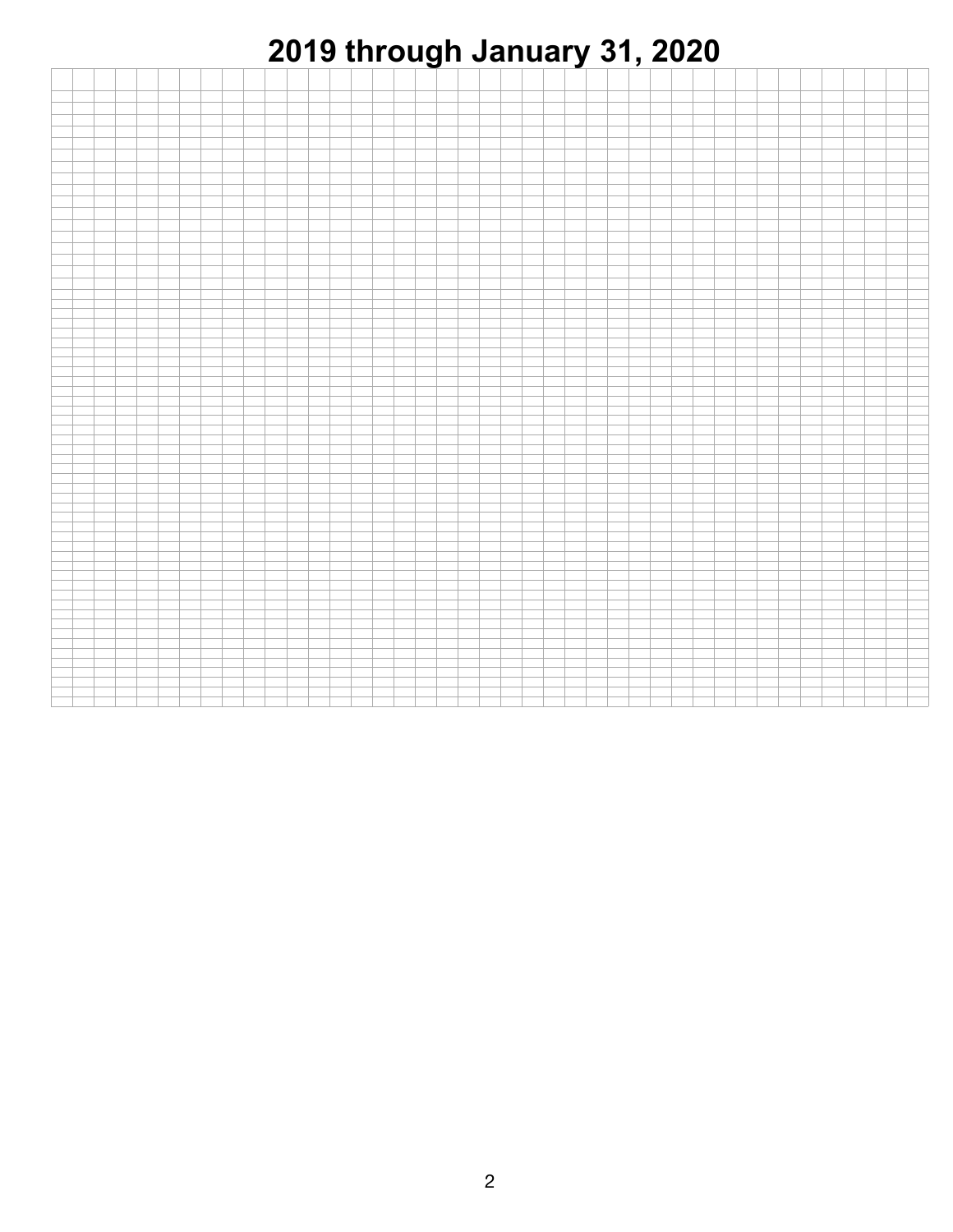

|  | ___ |       |  |  |  |  |  |  |  |
|--|-----|-------|--|--|--|--|--|--|--|
|  |     | _____ |  |  |  |  |  |  |  |
|  |     |       |  |  |  |  |  |  |  |
|  |     |       |  |  |  |  |  |  |  |
|  |     |       |  |  |  |  |  |  |  |
|  |     |       |  |  |  |  |  |  |  |
|  |     |       |  |  |  |  |  |  |  |
|  |     |       |  |  |  |  |  |  |  |
|  |     |       |  |  |  |  |  |  |  |
|  |     |       |  |  |  |  |  |  |  |
|  |     |       |  |  |  |  |  |  |  |
|  |     |       |  |  |  |  |  |  |  |
|  |     |       |  |  |  |  |  |  |  |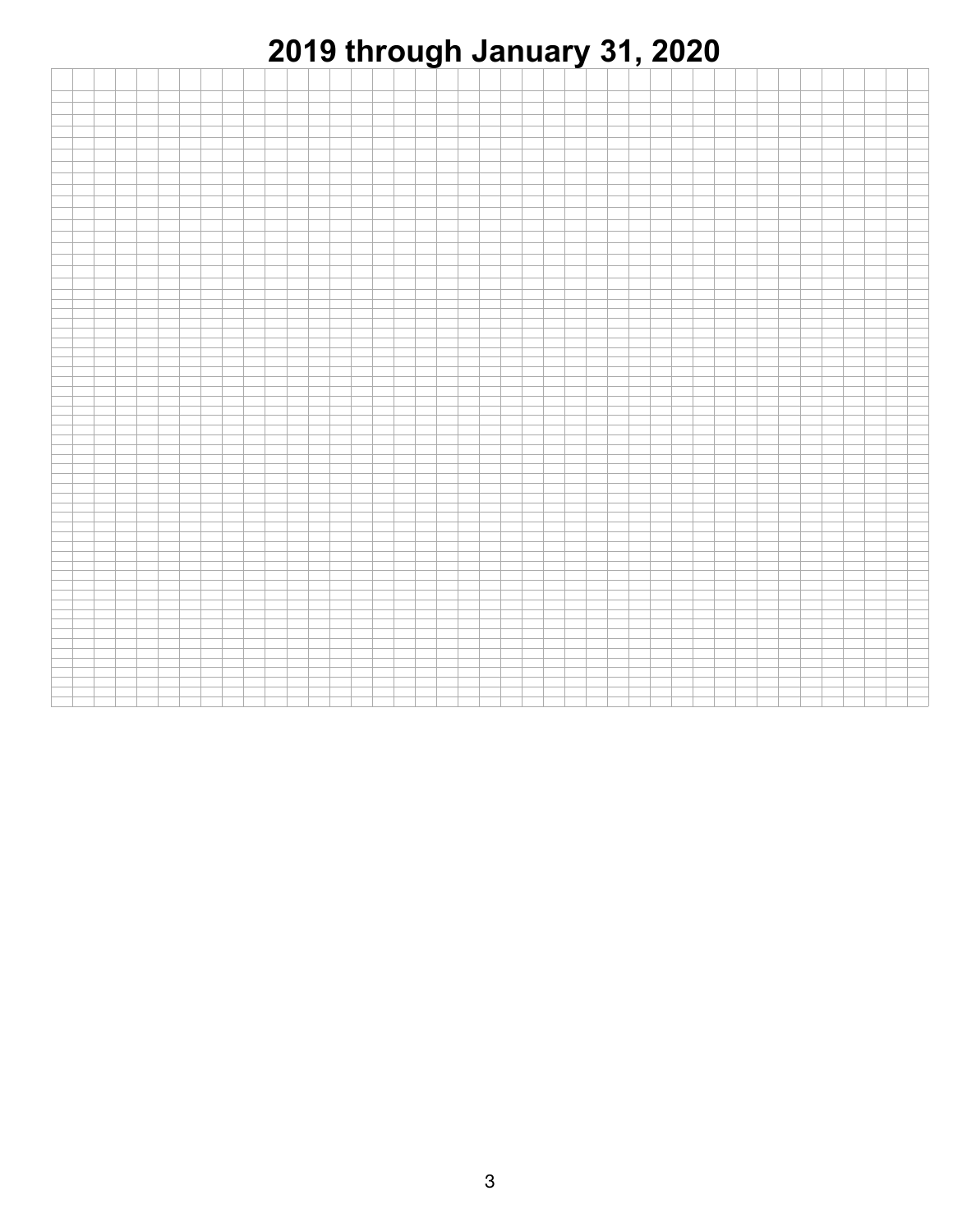

|  | ___ |       |  |  |  |  |  |  |  |
|--|-----|-------|--|--|--|--|--|--|--|
|  |     | _____ |  |  |  |  |  |  |  |
|  |     |       |  |  |  |  |  |  |  |
|  |     |       |  |  |  |  |  |  |  |
|  |     |       |  |  |  |  |  |  |  |
|  |     |       |  |  |  |  |  |  |  |
|  |     |       |  |  |  |  |  |  |  |
|  |     |       |  |  |  |  |  |  |  |
|  |     |       |  |  |  |  |  |  |  |
|  |     |       |  |  |  |  |  |  |  |
|  |     |       |  |  |  |  |  |  |  |
|  |     |       |  |  |  |  |  |  |  |
|  |     |       |  |  |  |  |  |  |  |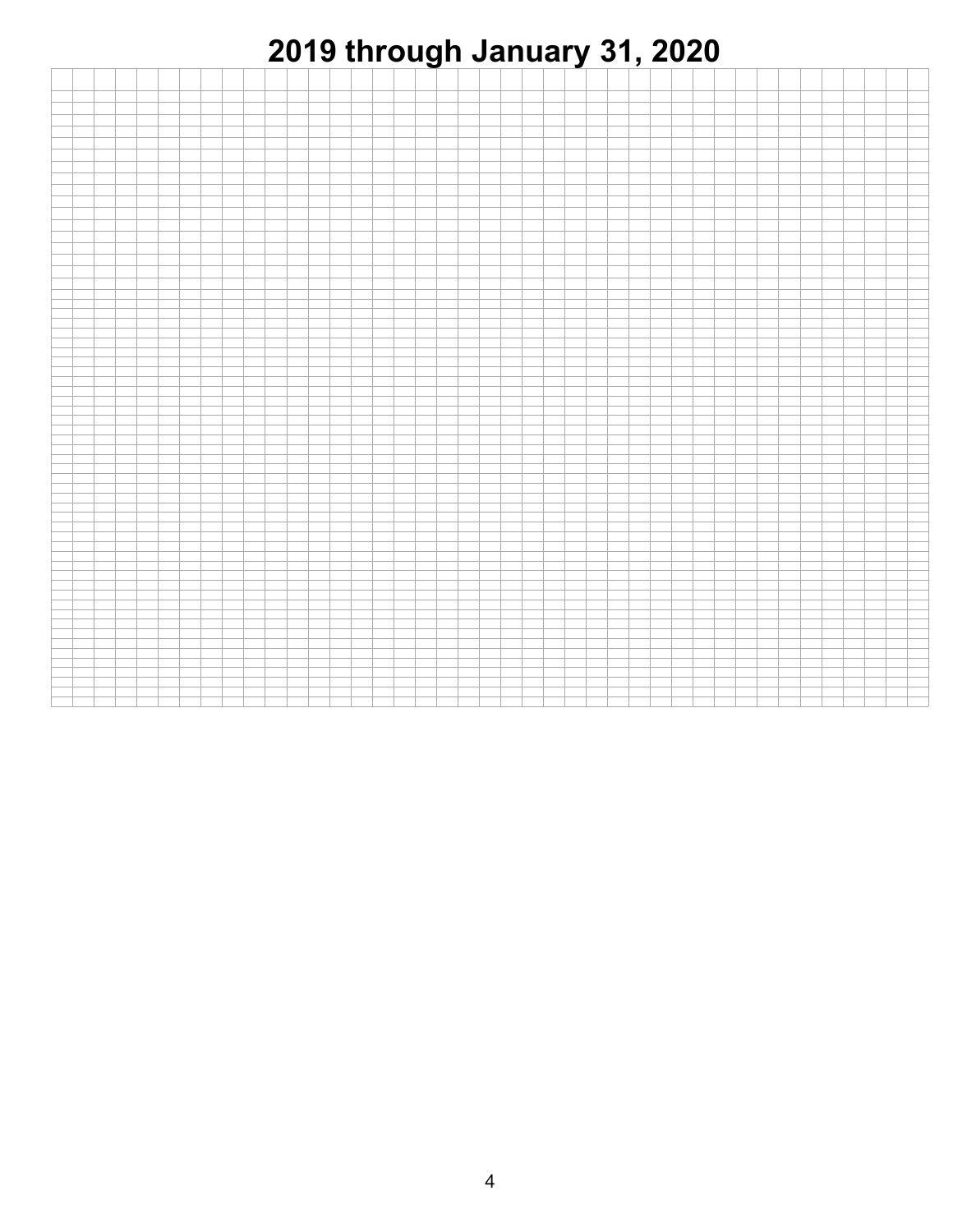

|  | ___ |       |  |  |  |  |  |  |  |
|--|-----|-------|--|--|--|--|--|--|--|
|  |     | _____ |  |  |  |  |  |  |  |
|  |     |       |  |  |  |  |  |  |  |
|  |     |       |  |  |  |  |  |  |  |
|  |     |       |  |  |  |  |  |  |  |
|  |     |       |  |  |  |  |  |  |  |
|  |     |       |  |  |  |  |  |  |  |
|  |     |       |  |  |  |  |  |  |  |
|  |     |       |  |  |  |  |  |  |  |
|  |     |       |  |  |  |  |  |  |  |
|  |     |       |  |  |  |  |  |  |  |
|  |     |       |  |  |  |  |  |  |  |
|  |     |       |  |  |  |  |  |  |  |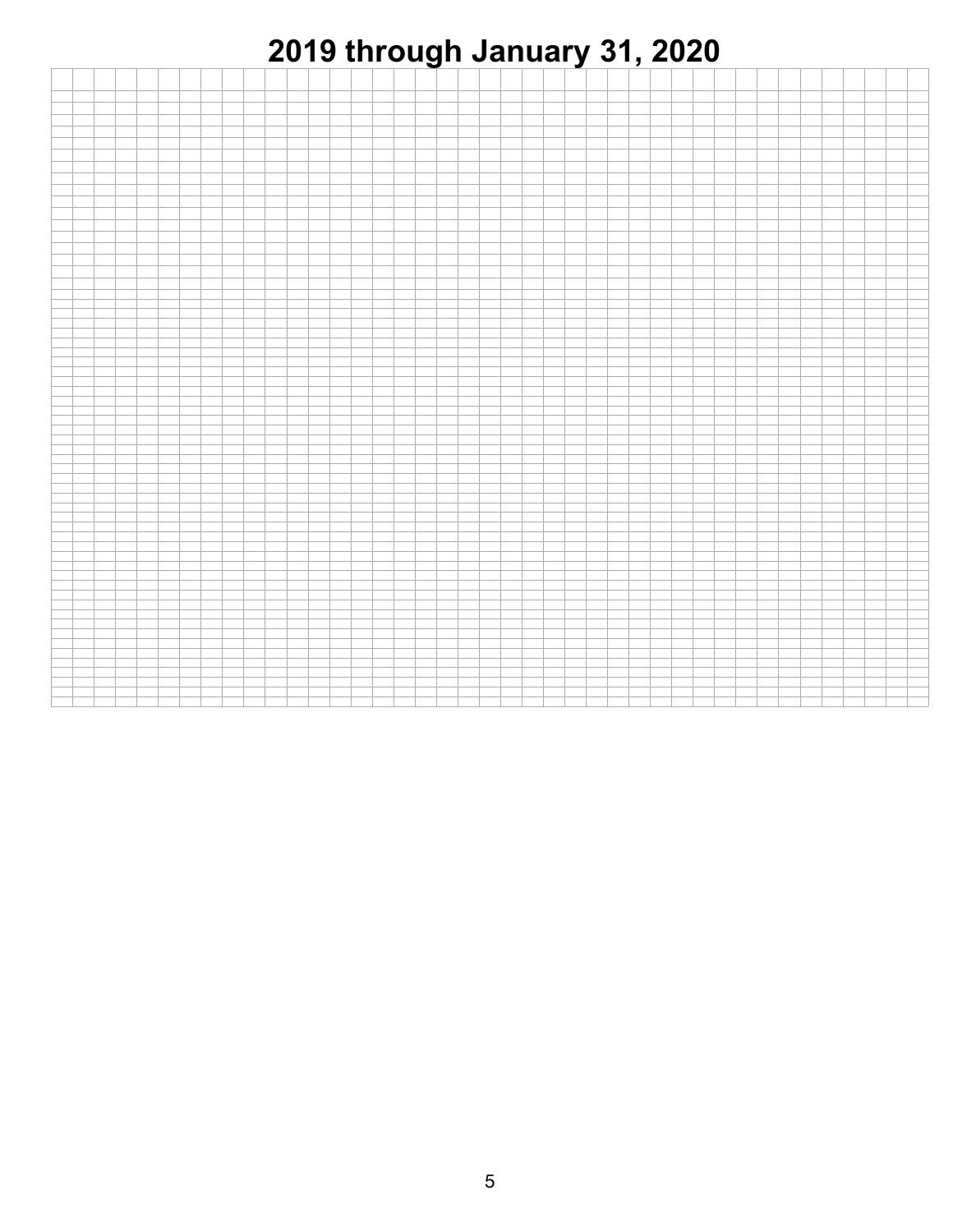

|  | ___ |       |  |  |  |  |  |  |  |
|--|-----|-------|--|--|--|--|--|--|--|
|  |     | _____ |  |  |  |  |  |  |  |
|  |     |       |  |  |  |  |  |  |  |
|  |     |       |  |  |  |  |  |  |  |
|  |     |       |  |  |  |  |  |  |  |
|  |     |       |  |  |  |  |  |  |  |
|  |     |       |  |  |  |  |  |  |  |
|  |     |       |  |  |  |  |  |  |  |
|  |     |       |  |  |  |  |  |  |  |
|  |     |       |  |  |  |  |  |  |  |
|  |     |       |  |  |  |  |  |  |  |
|  |     |       |  |  |  |  |  |  |  |
|  |     |       |  |  |  |  |  |  |  |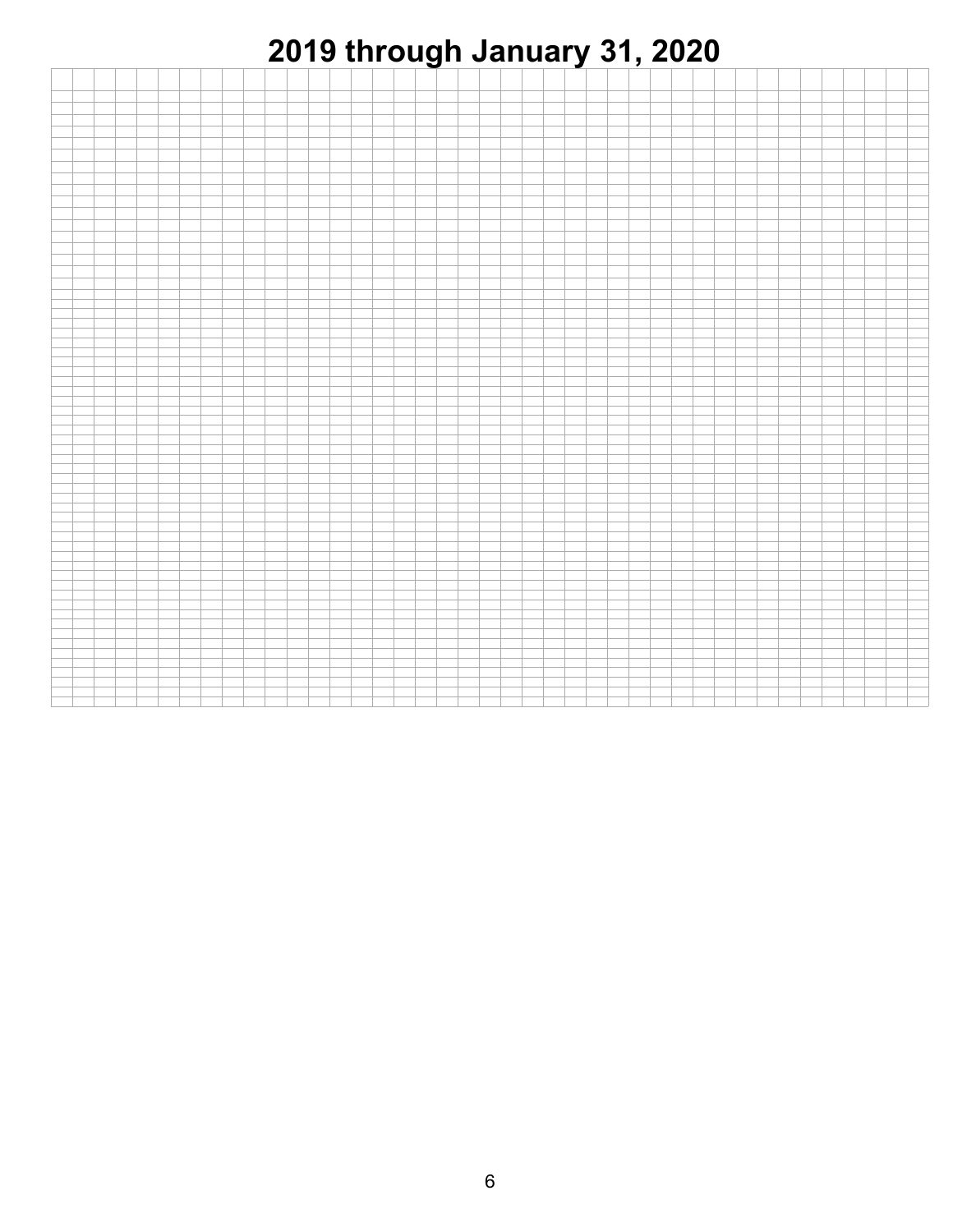

|  | ___ |       |  |  |  |  |  |  |  |
|--|-----|-------|--|--|--|--|--|--|--|
|  |     | _____ |  |  |  |  |  |  |  |
|  |     |       |  |  |  |  |  |  |  |
|  |     |       |  |  |  |  |  |  |  |
|  |     |       |  |  |  |  |  |  |  |
|  |     |       |  |  |  |  |  |  |  |
|  |     |       |  |  |  |  |  |  |  |
|  |     |       |  |  |  |  |  |  |  |
|  |     |       |  |  |  |  |  |  |  |
|  |     |       |  |  |  |  |  |  |  |
|  |     |       |  |  |  |  |  |  |  |
|  |     |       |  |  |  |  |  |  |  |
|  |     |       |  |  |  |  |  |  |  |